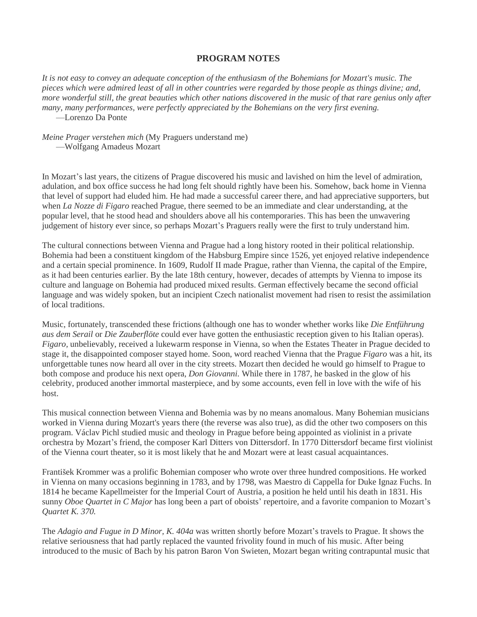## **PROGRAM NOTES**

It is not easy to convey an adequate conception of the enthusiasm of the Bohemians for Mozart's music. The pieces which were admired least of all in other countries were regarded by those people as things divine; and, more wonderful still, the great beauties which other nations discovered in the music of that rare genius only after *many, many performances, were perfectly appreciated by the Bohemians on the very first evening.* —Lorenzo Da Ponte

*Meine Prager verstehen mich* (My Praguers understand me) —Wolfgang Amadeus Mozart

In Mozart's last years, the citizens of Prague discovered his music and lavished on him the level of admiration, adulation, and box office success he had long felt should rightly have been his. Somehow, back home in Vienna that level of support had eluded him. He had made a successful career there, and had appreciative supporters, but when *La Nozze di Figaro* reached Prague, there seemed to be an immediate and clear understanding, at the popular level, that he stood head and shoulders above all his contemporaries. This has been the unwavering judgement of history ever since, so perhaps Mozart's Praguers really were the first to truly understand him.

The cultural connections between Vienna and Prague had a long history rooted in their political relationship. Bohemia had been a constituent kingdom of the Habsburg Empire since 1526, yet enjoyed relative independence and a certain special prominence. In 1609, Rudolf II made Prague, rather than Vienna, the capital of the Empire, as it had been centuries earlier. By the late 18th century, however, decades of attempts by Vienna to impose its culture and language on Bohemia had produced mixed results. German effectively became the second official language and was widely spoken, but an incipient Czech nationalist movement had risen to resist the assimilation of local traditions.

Music, fortunately, transcended these frictions (although one has to wonder whether works like *Die Entführung aus dem Serail* or *Die Zauberflöte* could ever have gotten the enthusiastic reception given to his Italian operas). *Figaro,* unbelievably, received a lukewarm response in Vienna, so when the Estates Theater in Prague decided to stage it, the disappointed composer stayed home. Soon, word reached Vienna that the Prague *Figaro* was a hit, its unforgettable tunes now heard all over in the city streets. Mozart then decided he would go himself to Prague to both compose and produce his next opera, *Don Giovanni.* While there in 1787, he basked in the glow of his celebrity, produced another immortal masterpiece, and by some accounts, even fell in love with the wife of his host.

This musical connection between Vienna and Bohemia was by no means anomalous. Many Bohemian musicians worked in Vienna during Mozart's years there (the reverse was also true), as did the other two composers on this program. Václav Pichl studied music and theology in Prague before being appointed as violinist in a private orchestra by Mozart's friend, the composer Karl Ditters von Dittersdorf. In 1770 Dittersdorf became first violinist of the Vienna court theater, so it is most likely that he and Mozart were at least casual acquaintances.

František Krommer was a prolific Bohemian composer who wrote over three hundred compositions. He worked in Vienna on many occasions beginning in 1783, and by 1798, was Maestro di Cappella for Duke Ignaz Fuchs. In 1814 he became Kapellmeister for the Imperial Court of Austria, a position he held until his death in 1831. His sunny *Oboe Quartet in C Major* has long been a part of oboists' repertoire, and a favorite companion to Mozart's *Quartet K. 370.*

The *Adagio and Fugue in D Minor, K. 404a* was written shortly before Mozart's travels to Prague. It shows the relative seriousness that had partly replaced the vaunted frivolity found in much of his music. After being introduced to the music of Bach by his patron Baron Von Swieten, Mozart began writing contrapuntal music that